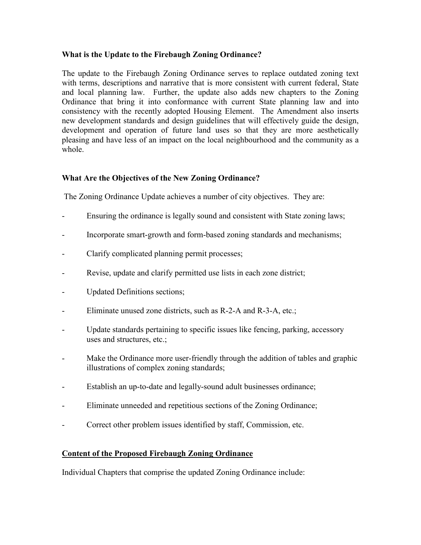## **What is the Update to the Firebaugh Zoning Ordinance?**

The update to the Firebaugh Zoning Ordinance serves to replace outdated zoning text with terms, descriptions and narrative that is more consistent with current federal, State and local planning law. Further, the update also adds new chapters to the Zoning Ordinance that bring it into conformance with current State planning law and into consistency with the recently adopted Housing Element. The Amendment also inserts new development standards and design guidelines that will effectively guide the design, development and operation of future land uses so that they are more aesthetically pleasing and have less of an impact on the local neighbourhood and the community as a whole.

## **What Are the Objectives of the New Zoning Ordinance?**

The Zoning Ordinance Update achieves a number of city objectives. They are:

- Ensuring the ordinance is legally sound and consistent with State zoning laws;
- Incorporate smart-growth and form-based zoning standards and mechanisms;
- Clarify complicated planning permit processes;
- Revise, update and clarify permitted use lists in each zone district;
- Updated Definitions sections;
- Eliminate unused zone districts, such as R-2-A and R-3-A, etc.;
- Update standards pertaining to specific issues like fencing, parking, accessory uses and structures, etc.;
- Make the Ordinance more user-friendly through the addition of tables and graphic illustrations of complex zoning standards;
- Establish an up-to-date and legally-sound adult businesses ordinance;
- Eliminate unneeded and repetitious sections of the Zoning Ordinance;
- Correct other problem issues identified by staff, Commission, etc.

## **Content of the Proposed Firebaugh Zoning Ordinance**

Individual Chapters that comprise the updated Zoning Ordinance include: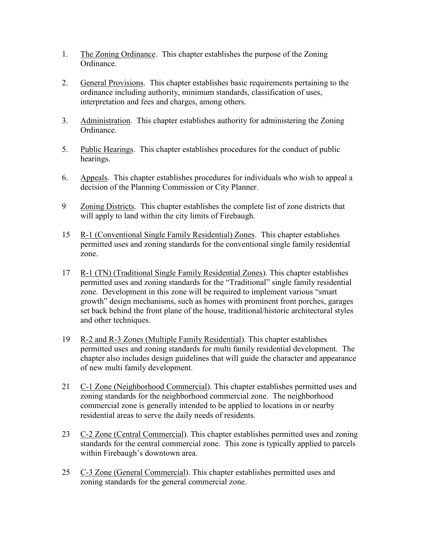- 1. The Zoning Ordinance. This chapter establishes the purpose of the Zoning Ordinance.
- 2. General Provisions. This chapter establishes basic requirements pertaining to the ordinance including authority, minimum standards, classification of uses, interpretation and fees and charges, among others.
- 3. Administration. This chapter establishes authority for administering the Zoning Ordinance.
- 5. Public Hearings. This chapter establishes procedures for the conduct of public hearings.
- 6. Appeals. This chapter establishes procedures for individuals who wish to appeal a decision of the Planning Commission or City Planner.
- 9 Zoning Districts. This chapter establishes the complete list of zone districts that will apply to land within the city limits of Firebaugh.
- 15 R-1 (Conventional Single Family Residential) Zones. This chapter establishes permitted uses and zoning standards for the conventional single family residential zone.
- 17 R-1 (TN) (Traditional Single Family Residential Zones). This chapter establishes permitted uses and zoning standards for the "Traditional" single family residential zone. Development in this zone will be required to implement various "smart growth" design mechanisms, such as homes with prominent front porches, garages set back behind the front plane of the house, traditional/historic architectural styles and other techniques.
- 19 R-2 and R-3 Zones (Multiple Family Residential). This chapter establishes permitted uses and zoning standards for multi family residential development. The chapter also includes design guidelines that will guide the character and appearance of new multi family development.
- 21 C-1 Zone (Neighborhood Commercial). This chapter establishes permitted uses and zoning standards for the neighborhood commercial zone. The neighborhood commercial zone is generally intended to be applied to locations in or nearby residential areas to serve the daily needs of residents.
- 23 C-2 Zone (Central Commercial). This chapter establishes permitted uses and zoning standards for the central commercial zone. This zone is typically applied to parcels within Firebaugh's downtown area.
- 25 C-3 Zone (General Commercial). This chapter establishes permitted uses and zoning standards for the general commercial zone.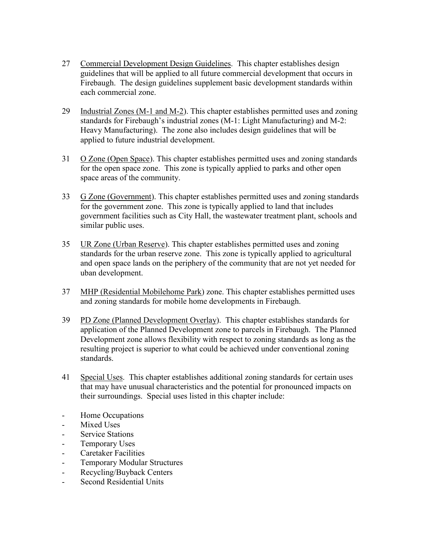- 27 Commercial Development Design Guidelines. This chapter establishes design guidelines that will be applied to all future commercial development that occurs in Firebaugh. The design guidelines supplement basic development standards within each commercial zone.
- 29 Industrial Zones (M-1 and M-2). This chapter establishes permitted uses and zoning standards for Firebaugh's industrial zones (M-1: Light Manufacturing) and M-2: Heavy Manufacturing). The zone also includes design guidelines that will be applied to future industrial development.
- 31 O Zone (Open Space). This chapter establishes permitted uses and zoning standards for the open space zone. This zone is typically applied to parks and other open space areas of the community.
- 33 G Zone (Government). This chapter establishes permitted uses and zoning standards for the government zone. This zone is typically applied to land that includes government facilities such as City Hall, the wastewater treatment plant, schools and similar public uses.
- 35 UR Zone (Urban Reserve). This chapter establishes permitted uses and zoning standards for the urban reserve zone. This zone is typically applied to agricultural and open space lands on the periphery of the community that are not yet needed for uban development.
- 37 MHP (Residential Mobilehome Park) zone. This chapter establishes permitted uses and zoning standards for mobile home developments in Firebaugh.
- 39 PD Zone (Planned Development Overlay). This chapter establishes standards for application of the Planned Development zone to parcels in Firebaugh. The Planned Development zone allows flexibility with respect to zoning standards as long as the resulting project is superior to what could be achieved under conventional zoning standards.
- 41 Special Uses. This chapter establishes additional zoning standards for certain uses that may have unusual characteristics and the potential for pronounced impacts on their surroundings. Special uses listed in this chapter include:
- Home Occupations
- Mixed Uses
- Service Stations
- Temporary Uses
- Caretaker Facilities
- Temporary Modular Structures
- Recycling/Buyback Centers
- Second Residential Units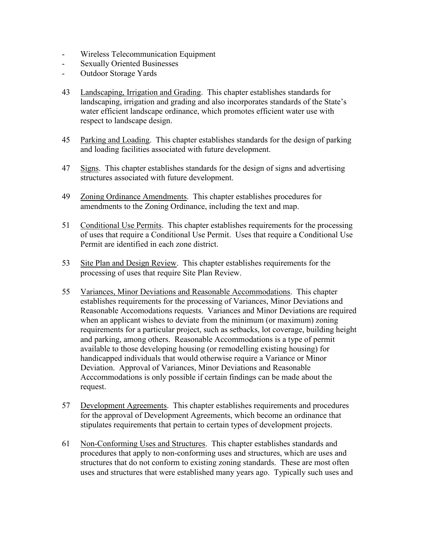- Wireless Telecommunication Equipment
- Sexually Oriented Businesses
- Outdoor Storage Yards
- 43 Landscaping, Irrigation and Grading. This chapter establishes standards for landscaping, irrigation and grading and also incorporates standards of the State's water efficient landscape ordinance, which promotes efficient water use with respect to landscape design.
- 45 Parking and Loading. This chapter establishes standards for the design of parking and loading facilities associated with future development.
- 47 Signs. This chapter establishes standards for the design of signs and advertising structures associated with future development.
- 49 Zoning Ordinance Amendments. This chapter establishes procedures for amendments to the Zoning Ordinance, including the text and map.
- 51 Conditional Use Permits. This chapter establishes requirements for the processing of uses that require a Conditional Use Permit. Uses that require a Conditional Use Permit are identified in each zone district.
- 53 Site Plan and Design Review. This chapter establishes requirements for the processing of uses that require Site Plan Review.
- 55 Variances, Minor Deviations and Reasonable Accommodations. This chapter establishes requirements for the processing of Variances, Minor Deviations and Reasonable Accomodations requests. Variances and Minor Deviations are required when an applicant wishes to deviate from the minimum (or maximum) zoning requirements for a particular project, such as setbacks, lot coverage, building height and parking, among others. Reasonable Accommodations is a type of permit available to those developing housing (or remodelling existing housing) for handicapped individuals that would otherwise require a Variance or Minor Deviation. Approval of Variances, Minor Deviations and Reasonable Acccommodations is only possible if certain findings can be made about the request.
- 57 Development Agreements. This chapter establishes requirements and procedures for the approval of Development Agreements, which become an ordinance that stipulates requirements that pertain to certain types of development projects.
- 61 Non-Conforming Uses and Structures. This chapter establishes standards and procedures that apply to non-conforming uses and structures, which are uses and structures that do not conform to existing zoning standards. These are most often uses and structures that were established many years ago. Typically such uses and